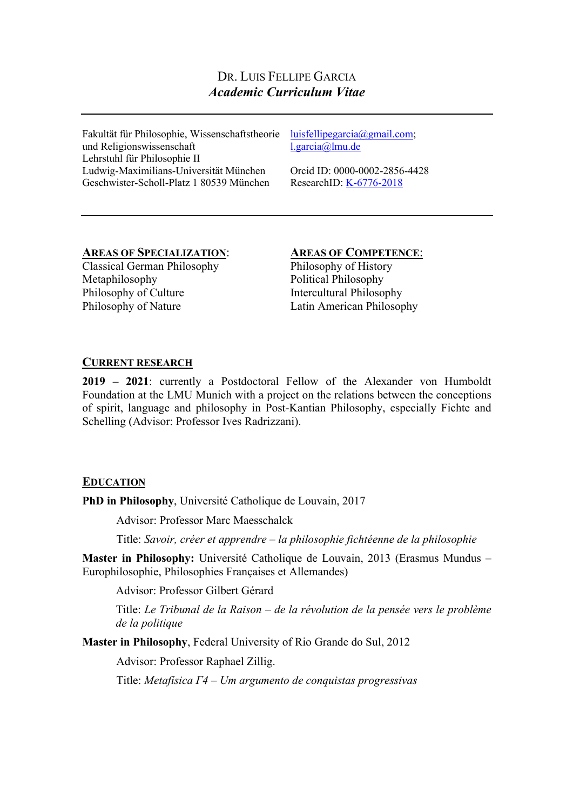# DR. LUIS FELLIPE GARCIA *Academic Curriculum Vitae*

Fakultät für Philosophie, Wissenschaftstheorie luisfellipegarcia@gmail.com; und Religionswissenschaft Lehrstuhl für Philosophie II Ludwig-Maximilians-Universität München Geschwister-Scholl-Platz 1 80539 München

l.garcia@lmu.de

Orcid ID: 0000-0002-2856-4428 ResearchID: K-6776-2018

# **AREAS OF SPECIALIZATION**: **AREAS OF COMPETENCE**:

Classical German Philosophy Metaphilosophy Philosophy of Culture Philosophy of Nature

Philosophy of History Political Philosophy Intercultural Philosophy Latin American Philosophy

## **CURRENT RESEARCH**

**2019 – 2021**: currently a Postdoctoral Fellow of the Alexander von Humboldt Foundation at the LMU Munich with a project on the relations between the conceptions of spirit, language and philosophy in Post-Kantian Philosophy, especially Fichte and Schelling (Advisor: Professor Ives Radrizzani).

## **EDUCATION**

**PhD in Philosophy**, Université Catholique de Louvain, 2017

Advisor: Professor Marc Maesschalck

Title: *Savoir, créer et apprendre – la philosophie fichtéenne de la philosophie*

**Master in Philosophy:** Université Catholique de Louvain, 2013 (Erasmus Mundus – Europhilosophie, Philosophies Françaises et Allemandes)

Advisor: Professor Gilbert Gérard

Title: *Le Tribunal de la Raison – de la révolution de la pensée vers le problème de la politique*

**Master in Philosophy**, Federal University of Rio Grande do Sul, 2012

Advisor: Professor Raphael Zillig.

Title: *Metafísica Γ4 – Um argumento de conquistas progressivas*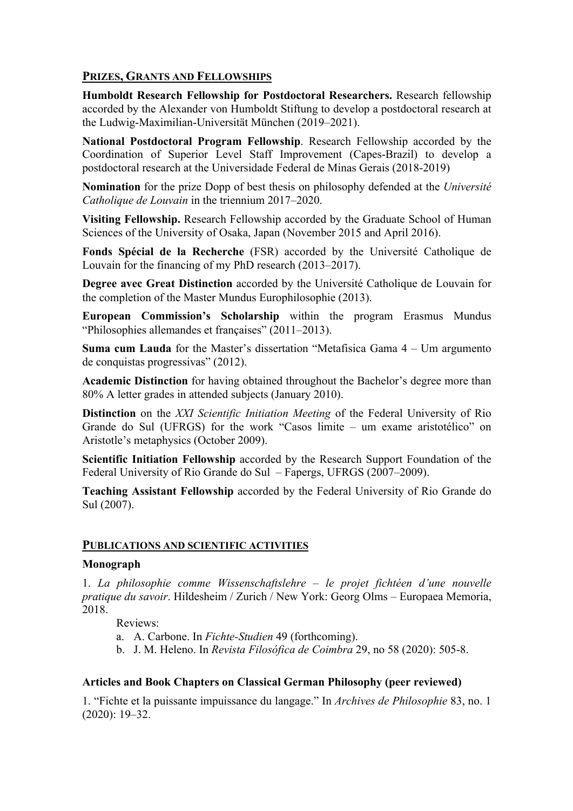## **PRIZES, GRANTS AND FELLOWSHIPS**

**Humboldt Research Fellowship for Postdoctoral Researchers.** Research fellowship accorded by the Alexander von Humboldt Stiftung to develop a postdoctoral research at the Ludwig-Maximilian-Universität München (2019–2021).

**National Postdoctoral Program Fellowship**. Research Fellowship accorded by the Coordination of Superior Level Staff Improvement (Capes-Brazil) to develop a postdoctoral research at the Universidade Federal de Minas Gerais (2018-2019)

**Nomination** for the prize Dopp of best thesis on philosophy defended at the *Université Catholique de Louvain* in the triennium 2017–2020.

**Visiting Fellowship.** Research Fellowship accorded by the Graduate School of Human Sciences of the University of Osaka, Japan (November 2015 and April 2016).

**Fonds Spécial de la Recherche** (FSR) accorded by the Université Catholique de Louvain for the financing of my PhD research (2013–2017).

**Degree avec Great Distinction** accorded by the Université Catholique de Louvain for the completion of the Master Mundus Europhilosophie (2013).

**European Commission's Scholarship** within the program Erasmus Mundus "Philosophies allemandes et françaises" (2011–2013).

**Suma cum Lauda** for the Master's dissertation "Metafisica Gama 4 – Um argumento de conquistas progressivas" (2012).

**Academic Distinction** for having obtained throughout the Bachelor's degree more than 80% A letter grades in attended subjects (January 2010).

**Distinction** on the *XXI Scientific Initiation Meeting* of the Federal University of Rio Grande do Sul (UFRGS) for the work "Casos limite – um exame aristotélico" on Aristotle's metaphysics (October 2009).

**Scientific Initiation Fellowship** accorded by the Research Support Foundation of the Federal University of Rio Grande do Sul – Fapergs, UFRGS (2007–2009).

**Teaching Assistant Fellowship** accorded by the Federal University of Rio Grande do Sul (2007).

## **PUBLICATIONS AND SCIENTIFIC ACTIVITIES**

#### **Monograph**

1. *La philosophie comme Wissenschaftslehre – le projet fichtéen d'une nouvelle pratique du savoir*. Hildesheim / Zurich / New York: Georg Olms – Europaea Memoria, 2018.

Reviews:

- a. A. Carbone. In *Fichte-Studien* 49 (forthcoming).
- b. J. M. Heleno. In *Revista Filosófica de Coimbra* 29, no 58 (2020): 505-8.

#### **Articles and Book Chapters on Classical German Philosophy (peer reviewed)**

1. "Fichte et la puissante impuissance du langage." In *Archives de Philosophie* 83, no. 1 (2020): 19–32.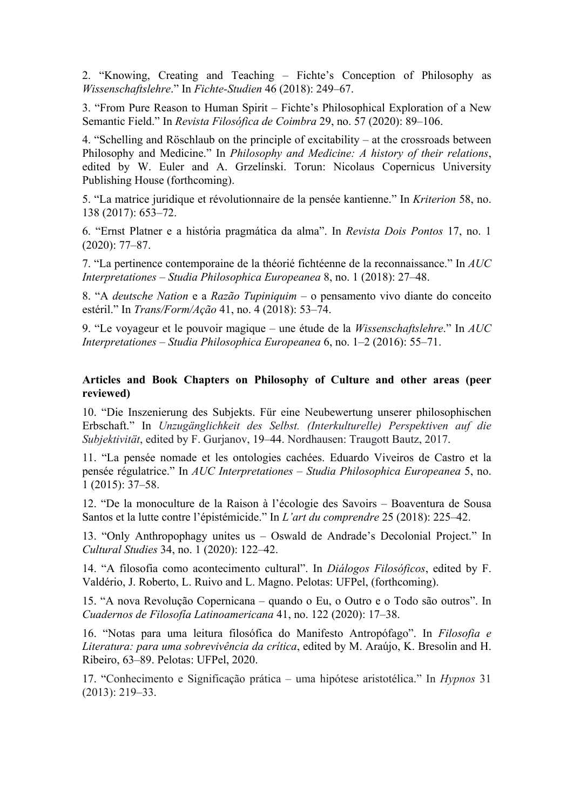2. "Knowing, Creating and Teaching – Fichte's Conception of Philosophy as *Wissenschaftslehre*." In *Fichte-Studien* 46 (2018): 249–67.

3. "From Pure Reason to Human Spirit – Fichte's Philosophical Exploration of a New Semantic Field." In *Revista Filosófica de Coimbra* 29, no. 57 (2020): 89–106.

4. "Schelling and Röschlaub on the principle of excitability – at the crossroads between Philosophy and Medicine." In *Philosophy and Medicine: A history of their relations*, edited by W. Euler and A. Grzelínski. Torun: Nicolaus Copernicus University Publishing House (forthcoming).

5. "La matrice juridique et révolutionnaire de la pensée kantienne." In *Kriterion* 58, no. 138 (2017): 653–72.

6. "Ernst Platner e a história pragmática da alma". In *Revista Dois Pontos* 17, no. 1 (2020): 77–87.

7. "La pertinence contemporaine de la théorié fichtéenne de la reconnaissance." In *AUC Interpretationes – Studia Philosophica Europeanea* 8, no. 1 (2018): 27–48.

8. "A *deutsche Nation* e a *Razão Tupiniquim* – o pensamento vivo diante do conceito estéril." In *Trans/Form/Ação* 41, no. 4 (2018): 53–74.

9. "Le voyageur et le pouvoir magique – une étude de la *Wissenschaftslehre*." In *AUC Interpretationes – Studia Philosophica Europeanea* 6, no. 1–2 (2016): 55–71.

#### **Articles and Book Chapters on Philosophy of Culture and other areas (peer reviewed)**

10. "Die Inszenierung des Subjekts. Für eine Neubewertung unserer philosophischen Erbschaft." In *Unzugänglichkeit des Selbst. (Interkulturelle) Perspektiven auf die Subjektivität*, edited by F. Gurjanov, 19–44. Nordhausen: Traugott Bautz, 2017.

11. "La pensée nomade et les ontologies cachées. Eduardo Viveiros de Castro et la pensée régulatrice." In *AUC Interpretationes – Studia Philosophica Europeanea* 5, no. 1 (2015): 37–58.

12. "De la monoculture de la Raison à l'écologie des Savoirs – Boaventura de Sousa Santos et la lutte contre l'épistémicide." In *L'art du comprendre* 25 (2018): 225–42.

13. "Only Anthropophagy unites us – Oswald de Andrade's Decolonial Project." In *Cultural Studies* 34, no. 1 (2020): 122–42.

14. "A filosofia como acontecimento cultural". In *Diálogos Filosóficos*, edited by F. Valdério, J. Roberto, L. Ruivo and L. Magno. Pelotas: UFPel, (forthcoming).

15. "A nova Revolução Copernicana – quando o Eu, o Outro e o Todo são outros". In *Cuadernos de Filosofía Latinoamericana* 41, no. 122 (2020): 17–38.

16. "Notas para uma leitura filosófica do Manifesto Antropófago". In *Filosofia e Literatura: para uma sobrevivência da crítica*, edited by M. Araújo, K. Bresolin and H. Ribeiro, 63–89. Pelotas: UFPel, 2020.

17. "Conhecimento e Significação prática – uma hipótese aristotélica." In *Hypnos* 31 (2013): 219–33.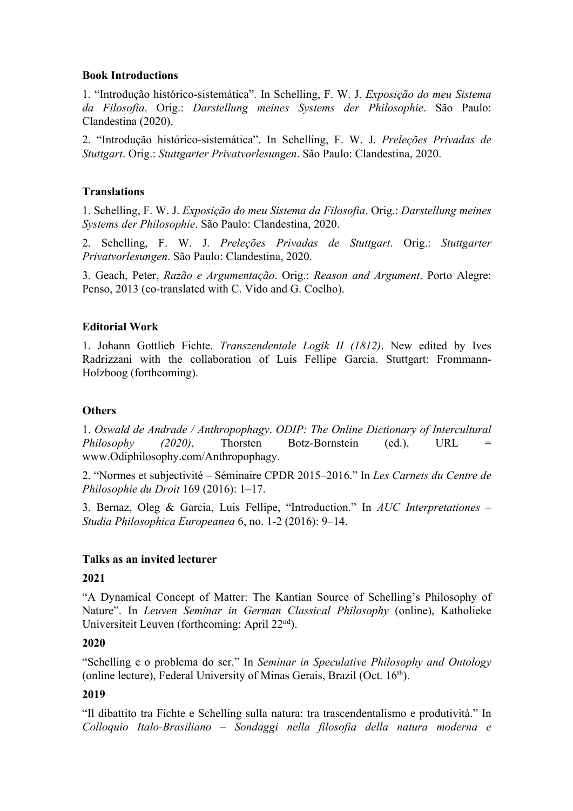#### **Book Introductions**

1. "Introdução histórico-sistemática". In Schelling, F. W. J. *Exposição do meu Sistema da Filosofia*. Orig.: *Darstellung meines Systems der Philosophie*. São Paulo: Clandestina (2020).

2. "Introdução histórico-sistemática". In Schelling, F. W. J. *Preleções Privadas de Stuttgart*. Orig.: *Stuttgarter Privatvorlesungen*. São Paulo: Clandestina, 2020.

#### **Translations**

1. Schelling, F. W. J. *Exposição do meu Sistema da Filosofia*. Orig.: *Darstellung meines Systems der Philosophie*. São Paulo: Clandestina, 2020.

2. Schelling, F. W. J. *Preleções Privadas de Stuttgart*. Orig.: *Stuttgarter Privatvorlesungen*. São Paulo: Clandestina, 2020.

3. Geach, Peter, *Razão e Argumentação*. Orig.: *Reason and Argument*. Porto Alegre: Penso, 2013 (co-translated with C. Vido and G. Coelho).

#### **Editorial Work**

1. Johann Gottlieb Fichte. *Transzendentale Logik II (1812)*. New edited by Ives Radrizzani with the collaboration of Luis Fellipe Garcia. Stuttgart: Frommann-Holzboog (forthcoming).

#### **Others**

1. *Oswald de Andrade / Anthropophagy*. *ODIP: The Online Dictionary of Intercultural Philosophy (2020)*, Thorsten Botz-Bornstein (ed.), URL www.Odiphilosophy.com/Anthropophagy.

2. "Normes et subjectivité – Séminaire CPDR 2015–2016." In *Les Carnets du Centre de Philosophie du Droit* 169 (2016): 1–17.

3. Bernaz, Oleg & Garcia, Luis Fellipe, "Introduction." In *AUC Interpretationes* – *Studia Philosophica Europeanea* 6, no. 1-2 (2016): 9–14.

#### **Talks as an invited lecturer**

#### **2021**

"A Dynamical Concept of Matter: The Kantian Source of Schelling's Philosophy of Nature". In *Leuven Seminar in German Classical Philosophy* (online), Katholieke Universiteit Leuven (forthcoming: April 22<sup>nd</sup>).

## **2020**

"Schelling e o problema do ser." In *Seminar in Speculative Philosophy and Ontology* (online lecture), Federal University of Minas Gerais, Brazil (Oct. 16th).

#### **2019**

"Il dibattito tra Fichte e Schelling sulla natura: tra trascendentalismo e produtività." In *Colloquio Italo-Brasiliano – Sondaggi nella filosofia della natura moderna e*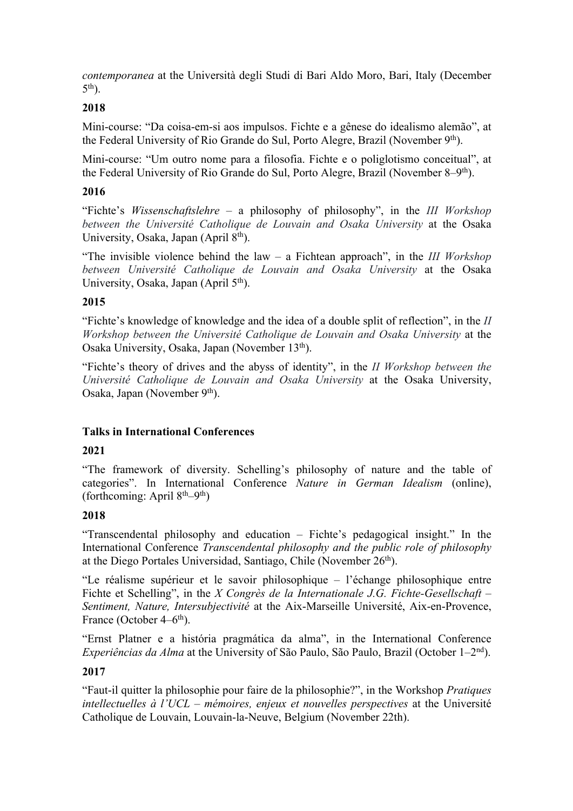*contemporanea* at the Università degli Studi di Bari Aldo Moro, Bari, Italy (December  $5<sup>th</sup>$ ).

## **2018**

Mini-course: "Da coisa-em-si aos impulsos. Fichte e a gênese do idealismo alemão", at the Federal University of Rio Grande do Sul, Porto Alegre, Brazil (November 9<sup>th</sup>).

Mini-course: "Um outro nome para a filosofia. Fichte e o poliglotismo conceitual", at the Federal University of Rio Grande do Sul, Porto Alegre, Brazil (November 8–9th).

## **2016**

"Fichte's *Wissenschaftslehre* – a philosophy of philosophy", in the *III Workshop between the Université Catholique de Louvain and Osaka University* at the Osaka University, Osaka, Japan (April  $8<sup>th</sup>$ ).

"The invisible violence behind the law – a Fichtean approach", in the *III Workshop between Université Catholique de Louvain and Osaka University* at the Osaka University, Osaka, Japan (April 5<sup>th</sup>).

# **2015**

"Fichte's knowledge of knowledge and the idea of a double split of reflection", in the *II Workshop between the Université Catholique de Louvain and Osaka University* at the Osaka University, Osaka, Japan (November 13<sup>th</sup>).

"Fichte's theory of drives and the abyss of identity", in the *II Workshop between the Université Catholique de Louvain and Osaka University* at the Osaka University, Osaka, Japan (November 9<sup>th</sup>).

## **Talks in International Conferences**

## **2021**

"The framework of diversity. Schelling's philosophy of nature and the table of categories". In International Conference *Nature in German Idealism* (online), (forthcoming: April  $8<sup>th</sup>–9<sup>th</sup>$ )

# **2018**

"Transcendental philosophy and education – Fichte's pedagogical insight." In the International Conference *Transcendental philosophy and the public role of philosophy* at the Diego Portales Universidad, Santiago, Chile (November 26th).

"Le réalisme supérieur et le savoir philosophique – l'échange philosophique entre Fichte et Schelling", in the *X Congrès de la Internationale J.G. Fichte-Gesellschaft – Sentiment, Nature, Intersubjectivité* at the Aix-Marseille Université, Aix-en-Provence, France (October  $4-6$ <sup>th</sup>).

"Ernst Platner e a história pragmática da alma", in the International Conference *Experiências da Alma* at the University of São Paulo, São Paulo, Brazil (October 1–2nd).

## **2017**

"Faut-il quitter la philosophie pour faire de la philosophie?", in the Workshop *Pratiques intellectuelles à l'UCL – mémoires, enjeux et nouvelles perspectives* at the Université Catholique de Louvain, Louvain-la-Neuve, Belgium (November 22th).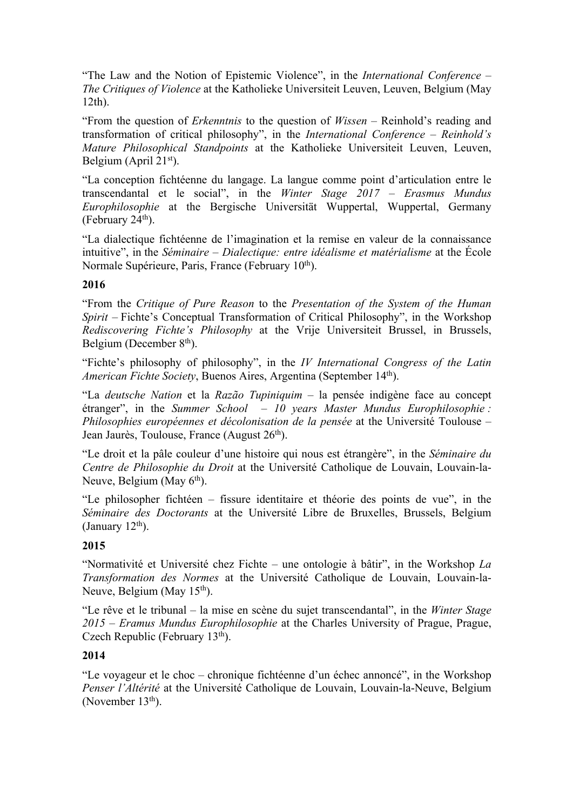"The Law and the Notion of Epistemic Violence", in the *International Conference – The Critiques of Violence* at the Katholieke Universiteit Leuven, Leuven, Belgium (May 12th).

"From the question of *Erkenntnis* to the question of *Wissen* – Reinhold's reading and transformation of critical philosophy", in the *International Conference – Reinhold's Mature Philosophical Standpoints* at the Katholieke Universiteit Leuven, Leuven, Belgium (April 21<sup>st</sup>).

"La conception fichtéenne du langage. La langue comme point d'articulation entre le transcendantal et le social", in the *Winter Stage 2017 – Erasmus Mundus Europhilosophie* at the Bergische Universität Wuppertal, Wuppertal, Germany (February  $24<sup>th</sup>$ ).

"La dialectique fichtéenne de l'imagination et la remise en valeur de la connaissance intuitive", in the *Séminaire – Dialectique: entre idéalisme et matérialisme* at the École Normale Supérieure, Paris, France (February 10<sup>th</sup>).

## **2016**

"From the *Critique of Pure Reason* to the *Presentation of the System of the Human Spirit* – Fichte's Conceptual Transformation of Critical Philosophy", in the Workshop *Rediscovering Fichte's Philosophy* at the Vrije Universiteit Brussel, in Brussels, Belgium (December  $8<sup>th</sup>$ ).

"Fichte's philosophy of philosophy", in the *IV International Congress of the Latin American Fichte Society*, Buenos Aires, Argentina (September 14th).

"La *deutsche Nation* et la *Razão Tupiniquim* – la pensée indigène face au concept étranger", in the *Summer School – 10 years Master Mundus Europhilosophie : Philosophies européennes et décolonisation de la pensée* at the Université Toulouse – Jean Jaurès, Toulouse, France (August 26<sup>th</sup>).

"Le droit et la pâle couleur d'une histoire qui nous est étrangère", in the *Séminaire du Centre de Philosophie du Droit* at the Université Catholique de Louvain, Louvain-la-Neuve, Belgium (May  $6<sup>th</sup>$ ).

"Le philosopher fichtéen – fissure identitaire et théorie des points de vue", in the *Séminaire des Doctorants* at the Université Libre de Bruxelles, Brussels, Belgium (January  $12<sup>th</sup>$ ).

## **2015**

"Normativité et Université chez Fichte – une ontologie à bâtir", in the Workshop *La Transformation des Normes* at the Université Catholique de Louvain, Louvain-la-Neuve, Belgium (May 15<sup>th</sup>).

"Le rêve et le tribunal – la mise en scène du sujet transcendantal", in the *Winter Stage 2015 – Eramus Mundus Europhilosophie* at the Charles University of Prague, Prague, Czech Republic (February 13<sup>th</sup>).

#### **2014**

"Le voyageur et le choc – chronique fichtéenne d'un échec annoncé", in the Workshop *Penser l'Altérité* at the Université Catholique de Louvain, Louvain-la-Neuve, Belgium (November 13<sup>th</sup>).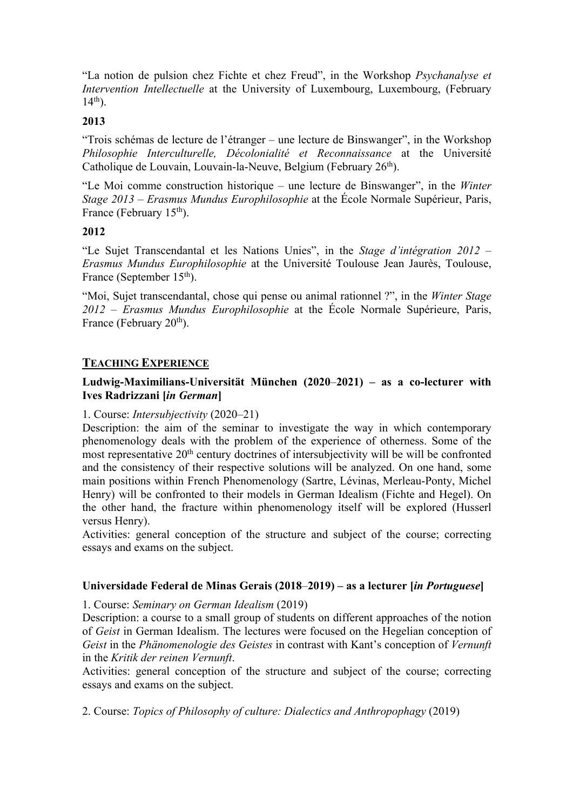"La notion de pulsion chez Fichte et chez Freud", in the Workshop *Psychanalyse et Intervention Intellectuelle* at the University of Luxembourg, Luxembourg, (February  $14<sup>th</sup>$ ).

## **2013**

"Trois schémas de lecture de l'étranger – une lecture de Binswanger", in the Workshop *Philosophie Interculturelle, Décolonialité et Reconnaissance* at the Université Catholique de Louvain, Louvain-la-Neuve, Belgium (February 26<sup>th</sup>).

"Le Moi comme construction historique – une lecture de Binswanger", in the *Winter Stage 2013 – Erasmus Mundus Europhilosophie* at the École Normale Supérieur, Paris, France (February  $15<sup>th</sup>$ ).

## **2012**

"Le Sujet Transcendantal et les Nations Unies", in the *Stage d'intégration 2012 – Erasmus Mundus Europhilosophie* at the Université Toulouse Jean Jaurès, Toulouse, France (September 15<sup>th</sup>).

"Moi, Sujet transcendantal, chose qui pense ou animal rationnel ?", in the *Winter Stage 2012 – Erasmus Mundus Europhilosophie* at the École Normale Supérieure, Paris, France (February 20<sup>th</sup>).

# **TEACHING EXPERIENCE**

# **Ludwig-Maximilians-Universität München (2020**–**2021) – as a co-lecturer with Ives Radrizzani [***in German***]**

## 1. Course: *Intersubjectivity* (2020–21)

Description: the aim of the seminar to investigate the way in which contemporary phenomenology deals with the problem of the experience of otherness. Some of the most representative  $20<sup>th</sup>$  century doctrines of intersubjectivity will be will be confronted and the consistency of their respective solutions will be analyzed. On one hand, some main positions within French Phenomenology (Sartre, Lévinas, Merleau-Ponty, Michel Henry) will be confronted to their models in German Idealism (Fichte and Hegel). On the other hand, the fracture within phenomenology itself will be explored (Husserl versus Henry).

Activities: general conception of the structure and subject of the course; correcting essays and exams on the subject.

## **Universidade Federal de Minas Gerais (2018**–**2019) – as a lecturer [***in Portuguese***]**

1. Course: *Seminary on German Idealism* (2019)

Description: a course to a small group of students on different approaches of the notion of *Geist* in German Idealism. The lectures were focused on the Hegelian conception of *Geist* in the *Phänomenologie des Geistes* in contrast with Kant's conception of *Vernunft* in the *Kritik der reinen Vernunft*.

Activities: general conception of the structure and subject of the course; correcting essays and exams on the subject.

2. Course: *Topics of Philosophy of culture: Dialectics and Anthropophagy* (2019)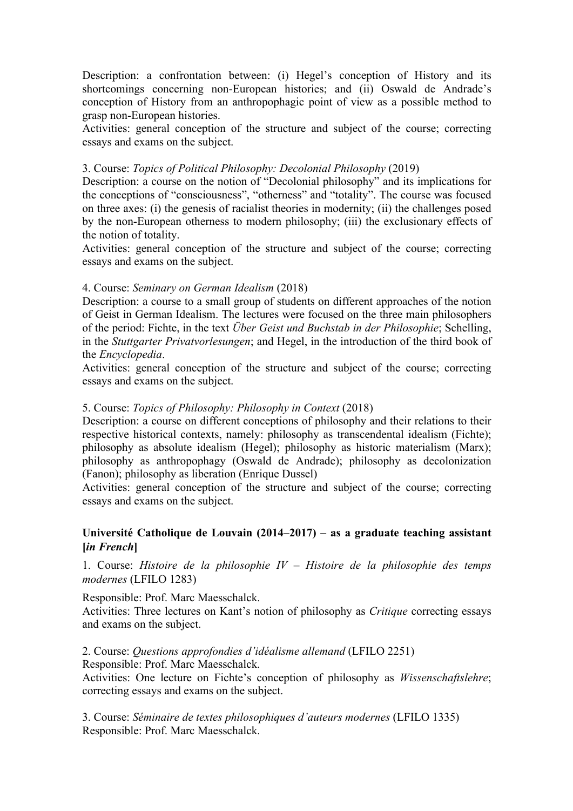Description: a confrontation between: (i) Hegel's conception of History and its shortcomings concerning non-European histories; and (ii) Oswald de Andrade's conception of History from an anthropophagic point of view as a possible method to grasp non-European histories.

Activities: general conception of the structure and subject of the course; correcting essays and exams on the subject.

#### 3. Course: *Topics of Political Philosophy: Decolonial Philosophy* (2019)

Description: a course on the notion of "Decolonial philosophy" and its implications for the conceptions of "consciousness", "otherness" and "totality". The course was focused on three axes: (i) the genesis of racialist theories in modernity; (ii) the challenges posed by the non-European otherness to modern philosophy; (iii) the exclusionary effects of the notion of totality.

Activities: general conception of the structure and subject of the course; correcting essays and exams on the subject.

## 4. Course: *Seminary on German Idealism* (2018)

Description: a course to a small group of students on different approaches of the notion of Geist in German Idealism. The lectures were focused on the three main philosophers of the period: Fichte, in the text *Über Geist und Buchstab in der Philosophie*; Schelling, in the *Stuttgarter Privatvorlesungen*; and Hegel, in the introduction of the third book of the *Encyclopedia*.

Activities: general conception of the structure and subject of the course; correcting essays and exams on the subject.

#### 5. Course: *Topics of Philosophy: Philosophy in Context* (2018)

Description: a course on different conceptions of philosophy and their relations to their respective historical contexts, namely: philosophy as transcendental idealism (Fichte); philosophy as absolute idealism (Hegel); philosophy as historic materialism (Marx); philosophy as anthropophagy (Oswald de Andrade); philosophy as decolonization (Fanon); philosophy as liberation (Enrique Dussel)

Activities: general conception of the structure and subject of the course; correcting essays and exams on the subject.

## **Université Catholique de Louvain (2014–2017) – as a graduate teaching assistant [***in French***]**

1. Course: *Histoire de la philosophie IV – Histoire de la philosophie des temps modernes* (LFILO 1283)

Responsible: Prof. Marc Maesschalck.

Activities: Three lectures on Kant's notion of philosophy as *Critique* correcting essays and exams on the subject.

2. Course: *Questions approfondies d'idéalisme allemand* (LFILO 2251)

Responsible: Prof. Marc Maesschalck.

Activities: One lecture on Fichte's conception of philosophy as *Wissenschaftslehre*; correcting essays and exams on the subject.

3. Course: *Séminaire de textes philosophiques d'auteurs modernes* (LFILO 1335) Responsible: Prof. Marc Maesschalck.